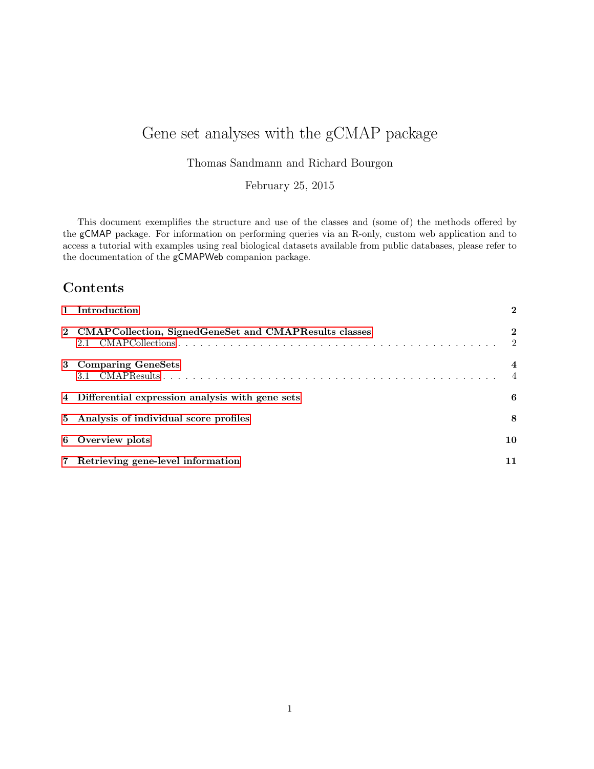# Gene set analyses with the gCMAP package

Thomas Sandmann and Richard Bourgon

February 25, 2015

This document exemplifies the structure and use of the classes and (some of) the methods offered by the gCMAP package. For information on performing queries via an R-only, custom web application and to access a tutorial with examples using real biological datasets available from public databases, please refer to the documentation of the gCMAPWeb companion package.

## Contents

| 1 Introduction                                                 | $\mathbf{2}$     |
|----------------------------------------------------------------|------------------|
| 2 CMAPCollection, SignedGeneSet and CMAPResults classes<br>2.1 | $\mathbf 2$<br>2 |
| 3 Comparing GeneSets                                           | 4                |
| 4 Differential expression analysis with gene sets              | 6                |
| 5 Analysis of individual score profiles                        | 8                |
| 6 Overview plots                                               | 10               |
| 7 Retrieving gene-level information                            | 11               |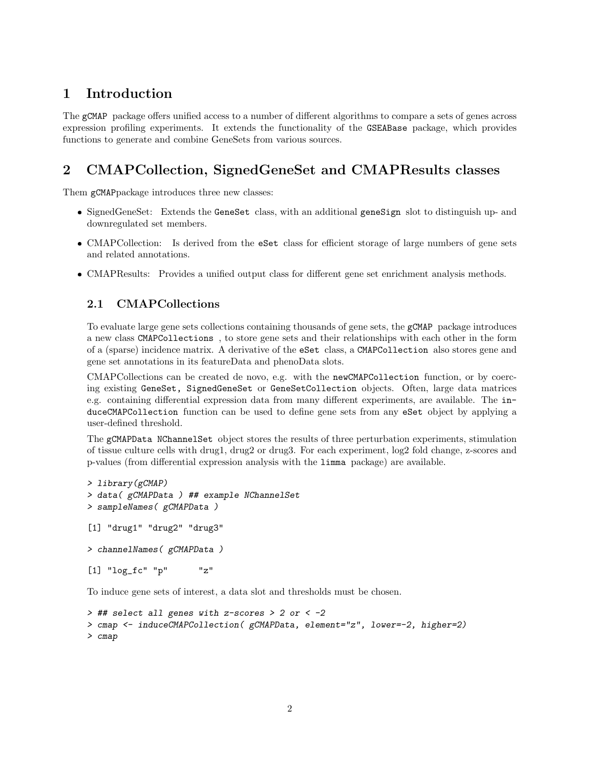## <span id="page-1-0"></span>1 Introduction

The gCMAP package offers unified access to a number of different algorithms to compare a sets of genes across expression profiling experiments. It extends the functionality of the GSEABase package, which provides functions to generate and combine GeneSets from various sources.

## <span id="page-1-1"></span>2 CMAPCollection, SignedGeneSet and CMAPResults classes

Them gCMAPpackage introduces three new classes:

- SignedGeneSet: Extends the GeneSet class, with an additional geneSign slot to distinguish up- and downregulated set members.
- CMAPCollection: Is derived from the eSet class for efficient storage of large numbers of gene sets and related annotations.
- CMAPResults: Provides a unified output class for different gene set enrichment analysis methods.

### <span id="page-1-2"></span>2.1 CMAPCollections

To evaluate large gene sets collections containing thousands of gene sets, the gCMAP package introduces a new class CMAPCollections , to store gene sets and their relationships with each other in the form of a (sparse) incidence matrix. A derivative of the eSet class, a CMAPCollection also stores gene and gene set annotations in its featureData and phenoData slots.

CMAPCollections can be created de novo, e.g. with the newCMAPCollection function, or by coercing existing GeneSet, SignedGeneSet or GeneSetCollection objects. Often, large data matrices e.g. containing differential expression data from many different experiments, are available. The induceCMAPCollection function can be used to define gene sets from any eSet object by applying a user-defined threshold.

The gCMAPData NChannelSet object stores the results of three perturbation experiments, stimulation of tissue culture cells with drug1, drug2 or drug3. For each experiment, log2 fold change, z-scores and p-values (from differential expression analysis with the limma package) are available.

```
> library(gCMAP)
> data( gCMAPData ) ## example NChannelSet
> sampleNames( gCMAPData )
[1] "drug1" "drug2" "drug3"
> channelNames( gCMAPData )
[1] "log_fc" "p"   "z"
```
To induce gene sets of interest, a data slot and thresholds must be chosen.

```
> ## select all genes with z-scores > 2 or < -2
> cmap <- induceCMAPCollection( gCMAPData, element="z", lower=-2, higher=2)
> cmap
```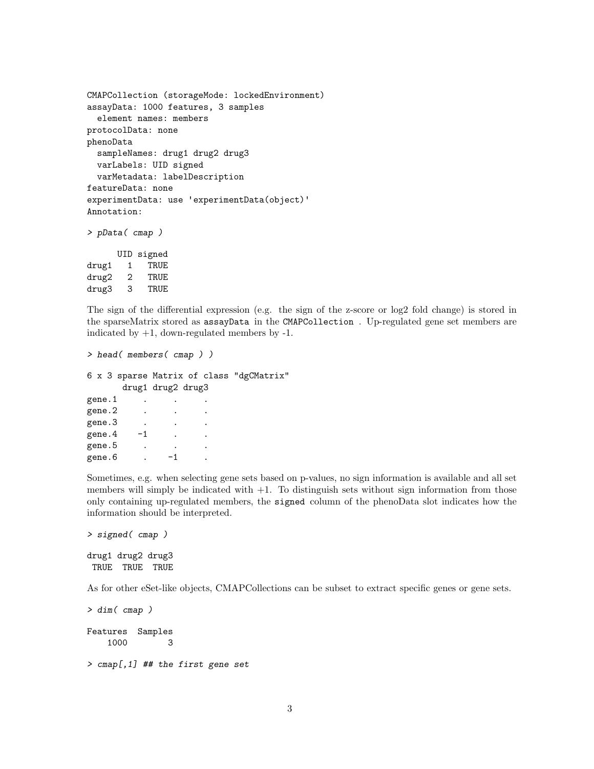```
CMAPCollection (storageMode: lockedEnvironment)
assayData: 1000 features, 3 samples
  element names: members
protocolData: none
phenoData
  sampleNames: drug1 drug2 drug3
  varLabels: UID signed
  varMetadata: labelDescription
featureData: none
experimentData: use 'experimentData(object)'
Annotation:
> pData( cmap )
      UID signed
drug1 1 TRUE
```
drug2 2 TRUE drug3 3 TRUE

The sign of the differential expression (e.g. the sign of the z-score or log2 fold change) is stored in the sparseMatrix stored as assayData in the CMAPCollection . Up-regulated gene set members are indicated by  $+1$ , down-regulated members by  $-1$ .

```
> head( members( cmap ) )
6 x 3 sparse Matrix of class "dgCMatrix"
     drug1 drug2 drug3
gene.1 . .
gene.2 . . .
gene.3 . . .
gene.4 -1 . .
gene.5 . . .
gene.6 . -1
```
Sometimes, e.g. when selecting gene sets based on p-values, no sign information is available and all set members will simply be indicated with  $+1$ . To distinguish sets without sign information from those only containing up-regulated members, the signed column of the phenoData slot indicates how the information should be interpreted.

```
> signed( cmap )
drug1 drug2 drug3
TRUE TRUE TRUE
```
As for other eSet-like objects, CMAPCollections can be subset to extract specific genes or gene sets.

> dim( cmap ) Features Samples 1000 3 > cmap[,1] ## the first gene set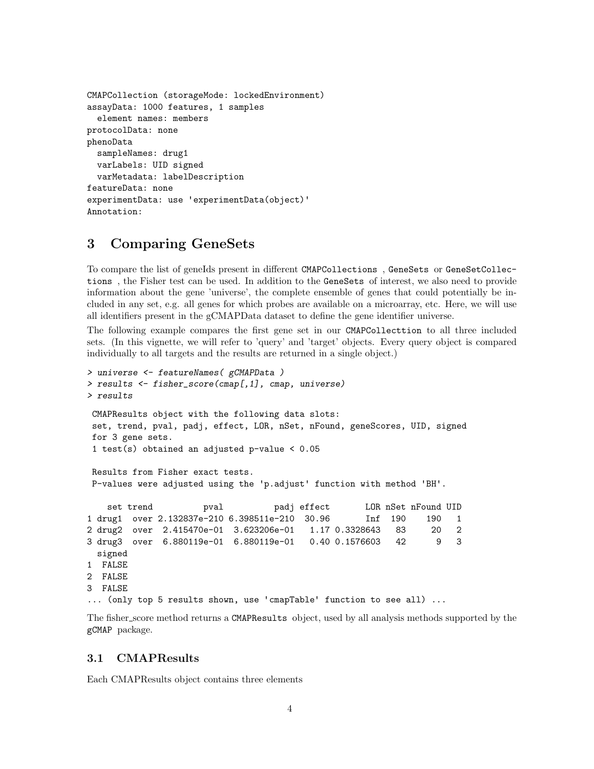```
CMAPCollection (storageMode: lockedEnvironment)
assayData: 1000 features, 1 samples
  element names: members
protocolData: none
phenoData
  sampleNames: drug1
  varLabels: UID signed
  varMetadata: labelDescription
featureData: none
experimentData: use 'experimentData(object)'
Annotation:
```
### <span id="page-3-0"></span>3 Comparing GeneSets

To compare the list of geneIds present in different CMAPCollections , GeneSets or GeneSetCollections , the Fisher test can be used. In addition to the GeneSets of interest, we also need to provide information about the gene 'universe', the complete ensemble of genes that could potentially be included in any set, e.g. all genes for which probes are available on a microarray, etc. Here, we will use all identifiers present in the gCMAPData dataset to define the gene identifier universe.

The following example compares the first gene set in our CMAPCollecttion to all three included sets. (In this vignette, we will refer to 'query' and 'target' objects. Every query object is compared individually to all targets and the results are returned in a single object.)

```
> universe <- featureNames( gCMAPData )
> results <- fisher_score(cmap[,1], cmap, universe)
> results
CMAPResults object with the following data slots:
set, trend, pval, padj, effect, LOR, nSet, nFound, geneScores, UID, signed
for 3 gene sets.
1 test(s) obtained an adjusted p-value < 0.05
Results from Fisher exact tests.
P-values were adjusted using the 'p.adjust' function with method 'BH'.
   set trend pval padj effect LOR nSet nFound UID
1 drug1 over 2.132837e-210 6.398511e-210 30.96 Inf 190 190 1
2 drug2 over 2.415470e-01 3.623206e-01 1.17 0.3328643 83 20 2
3 drug3 over 6.880119e-01 6.880119e-01 0.40 0.1576603 42 9 3
 signed
1 FALSE
2 FALSE
3 FALSE
... (only top 5 results shown, use 'cmapTable' function to see all) ...
```
The fisher score method returns a CMAPResults object, used by all analysis methods supported by the gCMAP package.

#### <span id="page-3-1"></span>3.1 CMAPResults

Each CMAPResults object contains three elements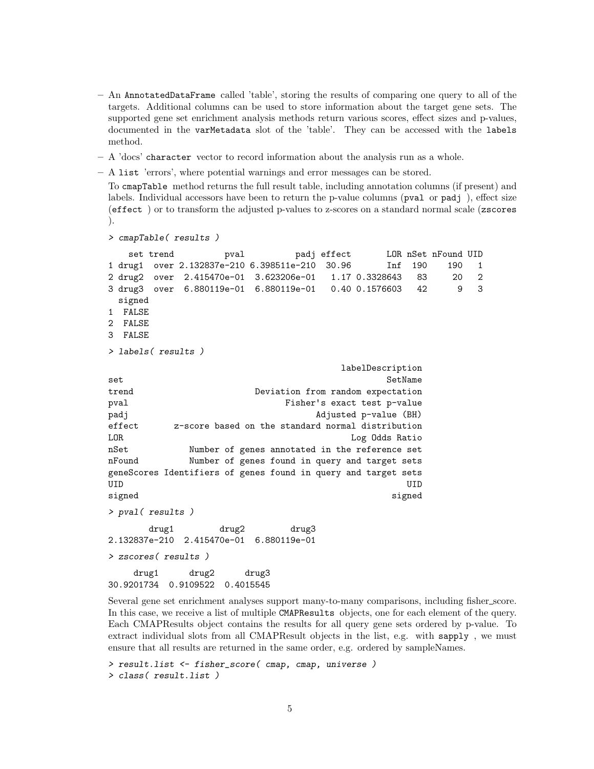- An AnnotatedDataFrame called 'table', storing the results of comparing one query to all of the targets. Additional columns can be used to store information about the target gene sets. The supported gene set enrichment analysis methods return various scores, effect sizes and p-values, documented in the varMetadata slot of the 'table'. They can be accessed with the labels method.
- A 'docs' character vector to record information about the analysis run as a whole.
- A list 'errors', where potential warnings and error messages can be stored.

To cmapTable method returns the full result table, including annotation columns (if present) and labels. Individual accessors have been to return the p-value columns (pval or padj ), effect size (effect ) or to transform the adjusted p-values to z-scores on a standard normal scale (zscores ).

```
> cmapTable( results )
```
set trend pval padj effect LOR nSet nFound UID 1 drug1 over 2.132837e-210 6.398511e-210 30.96 Inf 190 190 1 2 drug2 over 2.415470e-01 3.623206e-01 1.17 0.3328643 83 20 2 3 drug3 over 6.880119e-01 6.880119e-01 0.40 0.1576603 42 9 3 signed 1 FALSE 2 FALSE 3 FALSE > labels( results ) labelDescription set SetName trend Deviation from random expectation pval Fisher's exact test p-value padj Adjusted p-value (BH) effect z-score based on the standard normal distribution LOR Log Odds Ratio nSet Number of genes annotated in the reference set nFound Number of genes found in query and target sets geneScores Identifiers of genes found in query and target sets UID UID signed signed signed signed signed signed signed signed signed signed signed signed signed signed signed signed > pval( results ) drug1 drug2 drug3 2.132837e-210 2.415470e-01 6.880119e-01 > zscores( results ) drug1 drug2 drug3 30.9201734 0.9109522 0.4015545

Several gene set enrichment analyses support many-to-many comparisons, including fisher score. In this case, we receive a list of multiple CMAPResults objects, one for each element of the query. Each CMAPResults object contains the results for all query gene sets ordered by p-value. To extract individual slots from all CMAPResult objects in the list, e.g. with sapply , we must ensure that all results are returned in the same order, e.g. ordered by sampleNames.

```
> result.list <- fisher_score( cmap, cmap, universe )
> class( result.list )
```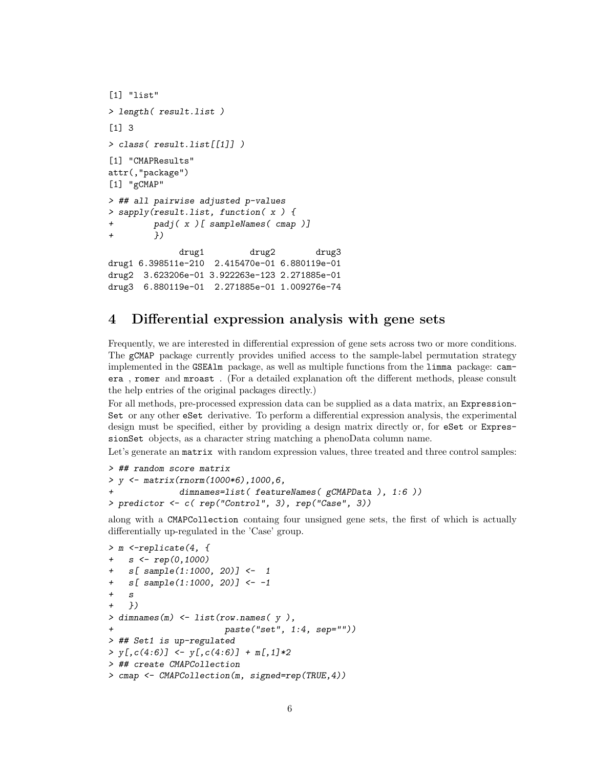```
[1] "list"
> length( result.list )
[1] 3
> class( result.list[[1]] )
[1] "CMAPResults"
attr(,"package")
[1] "gCMAP"
> ## all pairwise adjusted p-values
> sapply(result.list, function( x ) {
+ padj( x )[ sampleNames( cmap )]
+ })
             drug1 drug2 drug3
drug1 6.398511e-210 2.415470e-01 6.880119e-01
drug2 3.623206e-01 3.922263e-123 2.271885e-01
drug3 6.880119e-01 2.271885e-01 1.009276e-74
```
## <span id="page-5-0"></span>4 Differential expression analysis with gene sets

Frequently, we are interested in differential expression of gene sets across two or more conditions. The gCMAP package currently provides unified access to the sample-label permutation strategy implemented in the GSEAlm package, as well as multiple functions from the limma package: camera , romer and mroast . (For a detailed explanation oft the different methods, please consult the help entries of the original packages directly.)

For all methods, pre-processed expression data can be supplied as a data matrix, an Expression-Set or any other eSet derivative. To perform a differential expression analysis, the experimental design must be specified, either by providing a design matrix directly or, for eSet or ExpressionSet objects, as a character string matching a phenoData column name.

Let's generate an matrix with random expression values, three treated and three control samples:

```
> ## random score matrix
> y <- matrix(rnorm(1000*6),1000,6,
              dimnames=list( featureNames( gCMAPData ), 1:6 ))
> predictor <- c( rep("Control", 3), rep("Case", 3))
```
along with a CMAPCollection containg four unsigned gene sets, the first of which is actually differentially up-regulated in the 'Case' group.

```
> m <-replicate(4, {
+ s <- rep(0,1000)
   s[ sample(1:1000, 20)] <- 1
+ s[ sample(1:1000, 20)] <- -1
+ s+ })
> dimnames(m) <- list(row.names( y),
                      paste("set", 1:4, sep="")> ## Set1 is up-regulated
> y[, c(4:6)] < -y[, c(4:6)] + m[, 1]*2> ## create CMAPCollection
> cmap <- CMAPCollection(m, signed=rep(TRUE,4))
```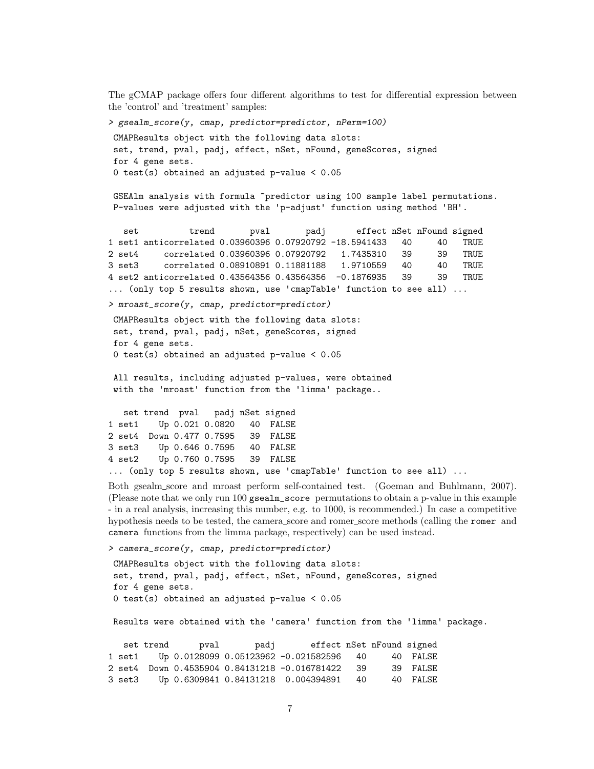The gCMAP package offers four different algorithms to test for differential expression between the 'control' and 'treatment' samples:

> gsealm\_score(y, cmap, predictor=predictor, nPerm=100) CMAPResults object with the following data slots: set, trend, pval, padj, effect, nSet, nFound, geneScores, signed for 4 gene sets. 0 test(s) obtained an adjusted p-value < 0.05 GSEAlm analysis with formula "predictor using 100 sample label permutations. P-values were adjusted with the 'p-adjust' function using method 'BH'. set trend pval padj effect nSet nFound signed 1 set1 anticorrelated 0.03960396 0.07920792 -18.5941433 40 40 TRUE 2 set4 correlated 0.03960396 0.07920792 1.7435310 39 39 TRUE 3 set3 correlated 0.08910891 0.11881188 1.9710559 40 40 TRUE 4 set2 anticorrelated 0.43564356 0.43564356 -0.1876935 39 39 TRUE ... (only top 5 results shown, use 'cmapTable' function to see all) ... > mroast\_score(y, cmap, predictor=predictor) CMAPResults object with the following data slots: set, trend, pval, padj, nSet, geneScores, signed for 4 gene sets. 0 test(s) obtained an adjusted p-value < 0.05 All results, including adjusted p-values, were obtained with the 'mroast' function from the 'limma' package.. set trend pval padj nSet signed 1 set1 Up 0.021 0.0820 40 FALSE 2 set4 Down 0.477 0.7595 39 FALSE 3 set3 Up 0.646 0.7595 40 FALSE 4 set2 Up 0.760 0.7595 39 FALSE ... (only top 5 results shown, use 'cmapTable' function to see all) ... Both gsealm score and mroast perform self-contained test. (Goeman and Buhlmann, 2007).

(Please note that we only run 100 gsealm\_score permutations to obtain a p-value in this example - in a real analysis, increasing this number, e.g. to 1000, is recommended.) In case a competitive hypothesis needs to be tested, the camera\_score and romer\_score methods (calling the romer and camera functions from the limma package, respectively) can be used instead.

> camera\_score(y, cmap, predictor=predictor)

CMAPResults object with the following data slots: set, trend, pval, padj, effect, nSet, nFound, geneScores, signed for 4 gene sets. 0 test(s) obtained an adjusted p-value < 0.05

Results were obtained with the 'camera' function from the 'limma' package.

set trend pval padj effect nSet nFound signed 1 set1 Up 0.0128099 0.05123962 -0.021582596 40 40 FALSE 2 set4 Down 0.4535904 0.84131218 -0.016781422 39 39 FALSE 3 set3 Up 0.6309841 0.84131218 0.004394891 40 40 FALSE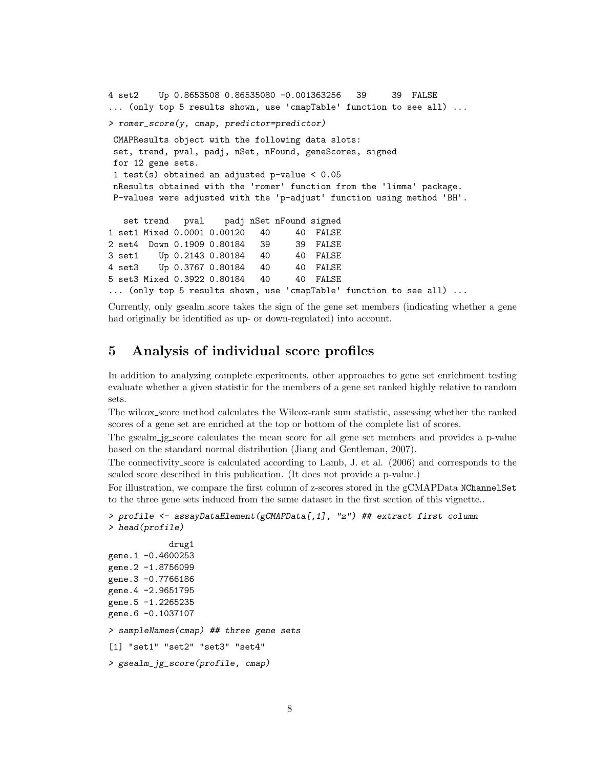```
4 set2 Up 0.8653508 0.86535080 -0.001363256 39 39 FALSE
... (only top 5 results shown, use 'cmapTable' function to see all) ...
> romer_score(y, cmap, predictor=predictor)
 CMAPResults object with the following data slots:
 set, trend, pval, padj, nSet, nFound, geneScores, signed
 for 12 gene sets.
 1 test(s) obtained an adjusted p-value < 0.05
 nResults obtained with the 'romer' function from the 'limma' package.
 P-values were adjusted with the 'p-adjust' function using method 'BH'.
  set trend pval padj nSet nFound signed
1 set1 Mixed 0.0001 0.00120 40 40 FALSE
2 set4 Down 0.1909 0.80184 39 39 FALSE
3 set1 Up 0.2143 0.80184 40 40 FALSE
4 set3 Up 0.3767 0.80184 40 40 FALSE
5 set3 Mixed 0.3922 0.80184 40 40 FALSE
... (only top 5 results shown, use 'cmapTable' function to see all) ...
```
Currently, only gsealm score takes the sign of the gene set members (indicating whether a gene had originally be identified as up- or down-regulated) into account.

### <span id="page-7-0"></span>5 Analysis of individual score profiles

In addition to analyzing complete experiments, other approaches to gene set enrichment testing evaluate whether a given statistic for the members of a gene set ranked highly relative to random sets.

The wilcox score method calculates the Wilcox-rank sum statistic, assessing whether the ranked scores of a gene set are enriched at the top or bottom of the complete list of scores.

The gsealm jg score calculates the mean score for all gene set members and provides a p-value based on the standard normal distribution (Jiang and Gentleman, 2007).

The connectivity score is calculated according to Lamb, J. et al. (2006) and corresponds to the scaled score described in this publication. (It does not provide a p-value.)

For illustration, we compare the first column of z-scores stored in the gCMAPData NChannelSet to the three gene sets induced from the same dataset in the first section of this vignette..

```
> profile <- assayDataElement(gCMAPData[,1], "z") ## extract first column
> head(profile)
```

```
drug1
gene.1 -0.4600253
gene.2 -1.8756099
gene.3 -0.7766186
gene.4 -2.9651795
gene.5 -1.2265235
gene.6 -0.1037107
> sampleNames(cmap) ## three gene sets
[1] "set1" "set2" "set3" "set4"
> gsealm_jg_score(profile, cmap)
```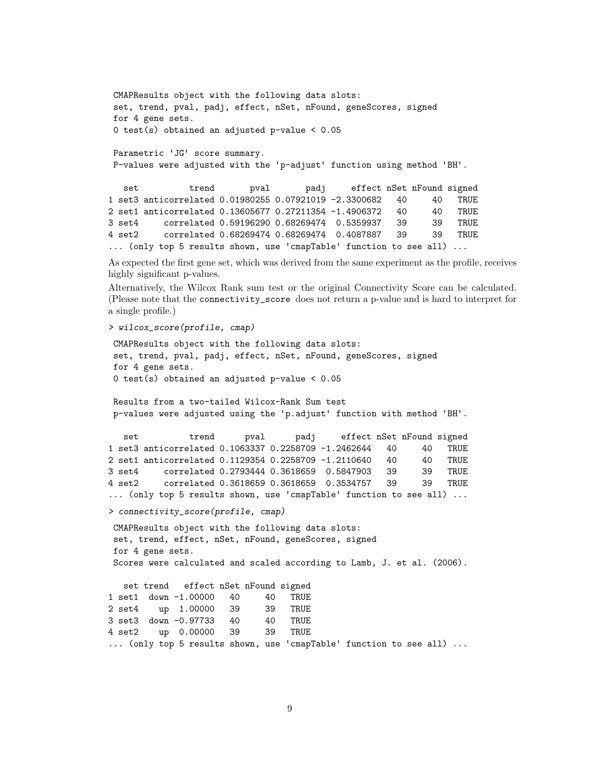```
CMAPResults object with the following data slots:
 set, trend, pval, padj, effect, nSet, nFound, geneScores, signed
 for 4 gene sets.
 0 test(s) obtained an adjusted p-value < 0.05
Parametric 'JG' score summary.
 P-values were adjusted with the 'p-adjust' function using method 'BH'.
  set trend pval padj effect nSet nFound signed
1 set3 anticorrelated 0.01980255 0.07921019 -2.3300682 40 40 TRUE
2 set1 anticorrelated 0.13605677 0.27211354 -1.4906372 40 40 TRUE
3 set4 correlated 0.59196290 0.68269474 0.5359937 39 39 TRUE
4 set2 correlated 0.68269474 0.68269474 0.4087887 39 39 TRUE
... (only top 5 results shown, use 'cmapTable' function to see all) ...
As expected the first gene set, which was derived from the same experiment as the profile, receives
highly significant p-values.
Alternatively, the Wilcox Rank sum test or the original Connectivity Score can be calculated.
(Please note that the connectivity_score does not return a p-value and is hard to interpret for
a single profile.)
> wilcox_score(profile, cmap)
 CMAPResults object with the following data slots:
 set, trend, pval, padj, effect, nSet, nFound, geneScores, signed
 for 4 gene sets.
 0 test(s) obtained an adjusted p-value < 0.05
 Results from a two-tailed Wilcox-Rank Sum test
p-values were adjusted using the 'p.adjust' function with method 'BH'.
  set trend pval padj effect nSet nFound signed
1 set3 anticorrelated 0.1063337 0.2258709 -1.2462644 40 40 TRUE
2 set1 anticorrelated 0.1129354 0.2258709 -1.2110640 40 40 TRUE
3 set4 correlated 0.2793444 0.3618659 0.5847903 39 39 TRUE
4 set2 correlated 0.3618659 0.3618659 0.3534757 39 39 TRUE
... (only top 5 results shown, use 'cmapTable' function to see all) ...
> connectivity_score(profile, cmap)
 CMAPResults object with the following data slots:
 set, trend, effect, nSet, nFound, geneScores, signed
 for 4 gene sets.
 Scores were calculated and scaled according to Lamb, J. et al. (2006).
  set trend effect nSet nFound signed
1 set1 down -1.00000 40 40 TRUE
2 set4 up 1.00000 39 39 TRUE
3 set3 down -0.97733 40 40 TRUE
```

```
9
```
... (only top 5 results shown, use 'cmapTable' function to see all) ...

4 set2 up 0.00000 39 39 TRUE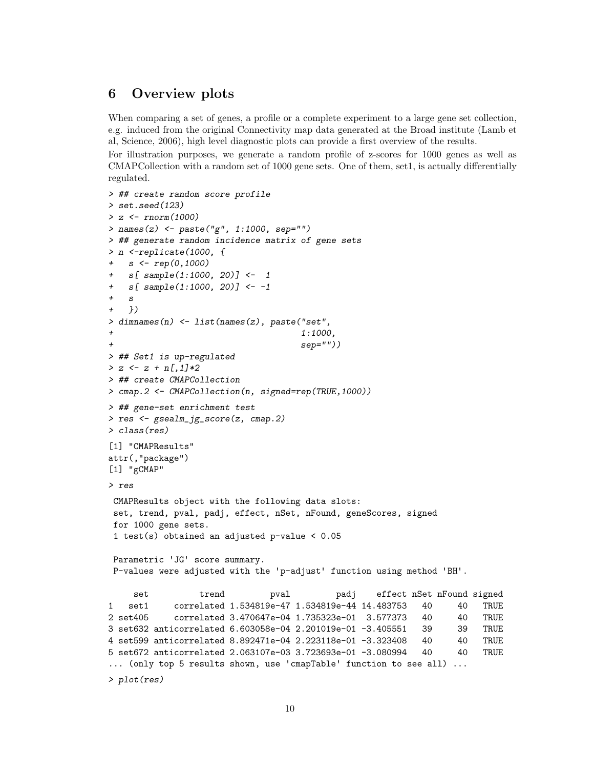### <span id="page-9-0"></span>6 Overview plots

When comparing a set of genes, a profile or a complete experiment to a large gene set collection, e.g. induced from the original Connectivity map data generated at the Broad institute (Lamb et al, Science, 2006), high level diagnostic plots can provide a first overview of the results.

For illustration purposes, we generate a random profile of z-scores for 1000 genes as well as CMAPCollection with a random set of 1000 gene sets. One of them, set1, is actually differentially regulated.

```
> ## create random score profile
> set.seed(123)> z <- rnorm(1000)
> names(z) <- paste("g", 1:1000, sep="")
> ## generate random incidence matrix of gene sets
> n <-replicate(1000, {
+ s \le rep(0,1000)
+ s[ sample(1:1000, 20)] <- 1
+ s[ sample(1:1000, 20)] <- -1
+ \leq+ })
> dimnames(n) <- list(names(z), paste("set",
+ 1:1000,
                                   sep="")> ## Set1 is up-regulated
> z \leftarrow z + n[, 1]*2> ## create CMAPCollection
> cmap.2 <- CMAPCollection(n, signed=rep(TRUE,1000))
> ## gene-set enrichment test
> res <- gsealm_jg_score(z, cmap.2)
> class(res)
[1] "CMAPResults"
attr(,"package")
[1] "gCMAP"
> res
 CMAPResults object with the following data slots:
 set, trend, pval, padj, effect, nSet, nFound, geneScores, signed
 for 1000 gene sets.
 1 test(s) obtained an adjusted p-value < 0.05
 Parametric 'JG' score summary.
 P-values were adjusted with the 'p-adjust' function using method 'BH'.
    set trend pval padj effect nSet nFound signed
1 set1 correlated 1.534819e-47 1.534819e-44 14.483753 40 40 TRUE
2 set405 correlated 3.470647e-04 1.735323e-01 3.577373 40 40 TRUE
3 set632 anticorrelated 6.603058e-04 2.201019e-01 -3.405551 39 39 TRUE
4 set599 anticorrelated 8.892471e-04 2.223118e-01 -3.323408 40 40 TRUE
5 set672 anticorrelated 2.063107e-03 3.723693e-01 -3.080994 40 40 TRUE
... (only top 5 results shown, use 'cmapTable' function to see all) ...
> plot(res)
```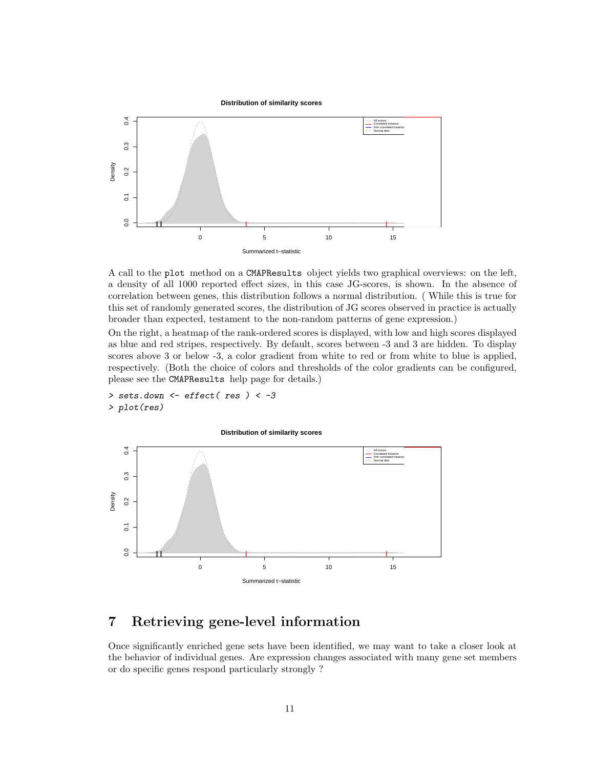

A call to the plot method on a CMAPResults object yields two graphical overviews: on the left, a density of all 1000 reported effect sizes, in this case JG-scores, is shown. In the absence of correlation between genes, this distribution follows a normal distribution. ( While this is true for this set of randomly generated scores, the distribution of JG scores observed in practice is actually broader than expected, testament to the non-random patterns of gene expression.)

On the right, a heatmap of the rank-ordered scores is displayed, with low and high scores displayed as blue and red stripes, respectively. By default, scores between -3 and 3 are hidden. To display scores above 3 or below -3, a color gradient from white to red or from white to blue is applied, respectively. (Both the choice of colors and thresholds of the color gradients can be configured, please see the CMAPResults help page for details.)

```
> sets.down <- effect( res ) < -3
> plot(res)
```
**Distribution of similarity scores**



## <span id="page-10-0"></span>7 Retrieving gene-level information

Once significantly enriched gene sets have been identified, we may want to take a closer look at the behavior of individual genes. Are expression changes associated with many gene set members or do specific genes respond particularly strongly ?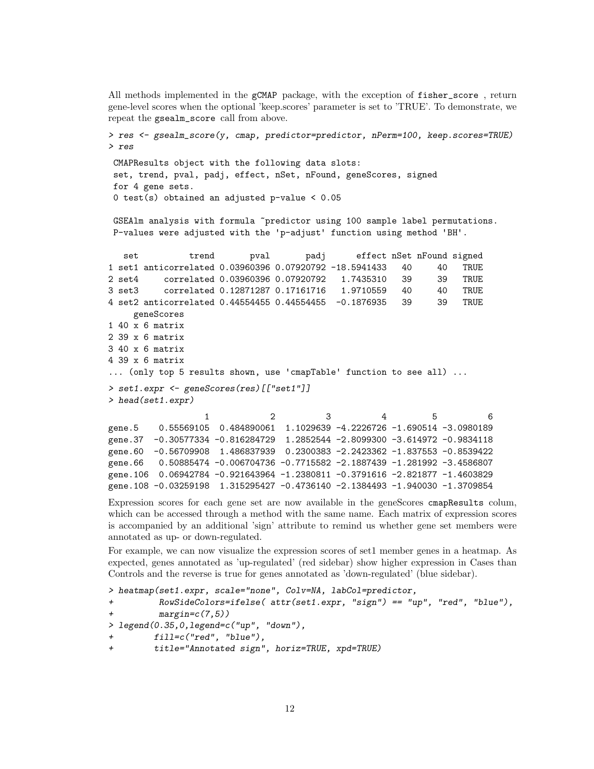All methods implemented in the gCMAP package, with the exception of fisher\_score , return gene-level scores when the optional 'keep.scores' parameter is set to 'TRUE'. To demonstrate, we repeat the gsealm\_score call from above.

```
> res <- gsealm_score(y, cmap, predictor=predictor, nPerm=100, keep.scores=TRUE)
> res
 CMAPResults object with the following data slots:
 set, trend, pval, padj, effect, nSet, nFound, geneScores, signed
 for 4 gene sets.
 0 test(s) obtained an adjusted p-value < 0.05
 GSEAlm analysis with formula "predictor using 100 sample label permutations.
 P-values were adjusted with the 'p-adjust' function using method 'BH'.
  set trend pval padj effect nSet nFound signed
1 set1 anticorrelated 0.03960396 0.07920792 -18.5941433 40 40 TRUE
2 set4 correlated 0.03960396 0.07920792 1.7435310 39 39 TRUE
3 set3 correlated 0.12871287 0.17161716 1.9710559 40 40 TRUE
4 set2 anticorrelated 0.44554455 0.44554455 -0.1876935 39 39 TRUE
    geneScores
1 40 x 6 matrix
2 39 x 6 matrix
3 40 x 6 matrix
4 39 x 6 matrix
... (only top 5 results shown, use 'cmapTable' function to see all) ...
> set1.expr <- geneScores(res)[["set1"]]
> head(set1.expr)
                 1 2 3 4 5 6
gene.5 0.55569105 0.484890061 1.1029639 -4.2226726 -1.690514 -3.0980189
```
gene.37 -0.30577334 -0.816284729 1.2852544 -2.8099300 -3.614972 -0.9834118 gene.60 -0.56709908 1.486837939 0.2300383 -2.2423362 -1.837553 -0.8539422 gene.66 0.50885474 -0.006704736 -0.7715582 -2.1887439 -1.281992 -3.4586807 gene.106 0.06942784 -0.921643964 -1.2380811 -0.3791616 -2.821877 -1.4603829 gene.108 -0.03259198 1.315295427 -0.4736140 -2.1384493 -1.940030 -1.3709854

Expression scores for each gene set are now available in the geneScores cmapResults colum, which can be accessed through a method with the same name. Each matrix of expression scores is accompanied by an additional 'sign' attribute to remind us whether gene set members were annotated as up- or down-regulated.

For example, we can now visualize the expression scores of set1 member genes in a heatmap. As expected, genes annotated as 'up-regulated' (red sidebar) show higher expression in Cases than Controls and the reverse is true for genes annotated as 'down-regulated' (blue sidebar).

```
> heatmap(set1.expr, scale="none", Colv=NA, labCol=predictor,
+ RowSideColors=ifelse( attr(set1.expr, "sign") == "up", "red", "blue"),
+ margin=c(7,5))
> legend(0.35,0,legend=c("up", "down"),
+ fill=c("red", "blue"),
        + title="Annotated sign", horiz=TRUE, xpd=TRUE)
```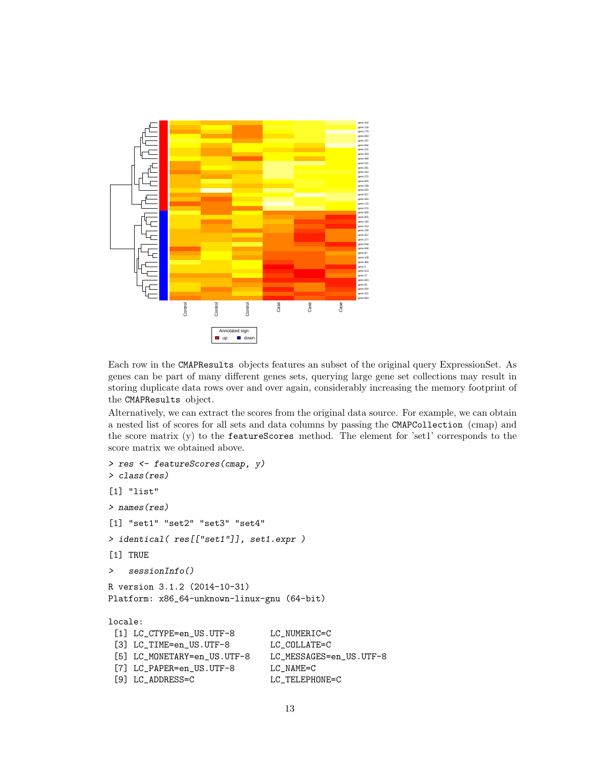

Each row in the CMAPResults objects features an subset of the original query ExpressionSet. As genes can be part of many different genes sets, querying large gene set collections may result in storing duplicate data rows over and over again, considerably increasing the memory footprint of the CMAPResults object.

Alternatively, we can extract the scores from the original data source. For example, we can obtain a nested list of scores for all sets and data columns by passing the CMAPCollection (cmap) and the score matrix (y) to the featureScores method. The element for 'set1' corresponds to the score matrix we obtained above.

```
> res <- featureScores(cmap, y)
> class(res)
[1] "list"
> names(res)
[1] "set1" "set2" "set3" "set4"
> identical( res[["set1"]], set1.expr )
[1] TRUE
> sessionInfo()
R version 3.1.2 (2014-10-31)
Platform: x86_64-unknown-linux-gnu (64-bit)
locale:
 [1] LC_CTYPE=en_US.UTF-8 LC_NUMERIC=C
 [3] LC_TIME=en_US.UTF-8 LC_COLLATE=C
 [5] LC_MONETARY=en_US.UTF-8 LC_MESSAGES=en_US.UTF-8
 [7] LC_PAPER=en_US.UTF-8 LC_NAME=C
 [9] LC_ADDRESS=C LC_TELEPHONE=C
```